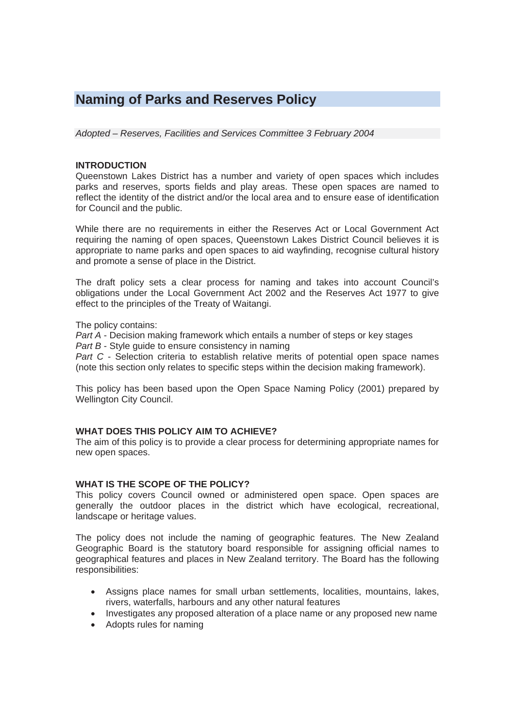# **Naming of Parks and Reserves Policy**

*Adopted – Reserves, Facilities and Services Committee 3 February 2004* 

#### **INTRODUCTION**

Queenstown Lakes District has a number and variety of open spaces which includes parks and reserves, sports fields and play areas. These open spaces are named to reflect the identity of the district and/or the local area and to ensure ease of identification for Council and the public.

While there are no requirements in either the Reserves Act or Local Government Act requiring the naming of open spaces, Queenstown Lakes District Council believes it is appropriate to name parks and open spaces to aid wayfinding, recognise cultural history and promote a sense of place in the District.

The draft policy sets a clear process for naming and takes into account Council's obligations under the Local Government Act 2002 and the Reserves Act 1977 to give effect to the principles of the Treaty of Waitangi.

The policy contains:

*Part A* - Decision making framework which entails a number of steps or key stages *Part B - Style quide to ensure consistency in naming* 

*Part C* - Selection criteria to establish relative merits of potential open space names (note this section only relates to specific steps within the decision making framework).

This policy has been based upon the Open Space Naming Policy (2001) prepared by Wellington City Council.

#### **WHAT DOES THIS POLICY AIM TO ACHIEVE?**

The aim of this policy is to provide a clear process for determining appropriate names for new open spaces.

#### **WHAT IS THE SCOPE OF THE POLICY?**

This policy covers Council owned or administered open space. Open spaces are generally the outdoor places in the district which have ecological, recreational, landscape or heritage values.

The policy does not include the naming of geographic features. The New Zealand Geographic Board is the statutory board responsible for assigning official names to geographical features and places in New Zealand territory. The Board has the following responsibilities:

- Assigns place names for small urban settlements, localities, mountains, lakes, rivers, waterfalls, harbours and any other natural features
- Investigates any proposed alteration of a place name or any proposed new name
- Adopts rules for naming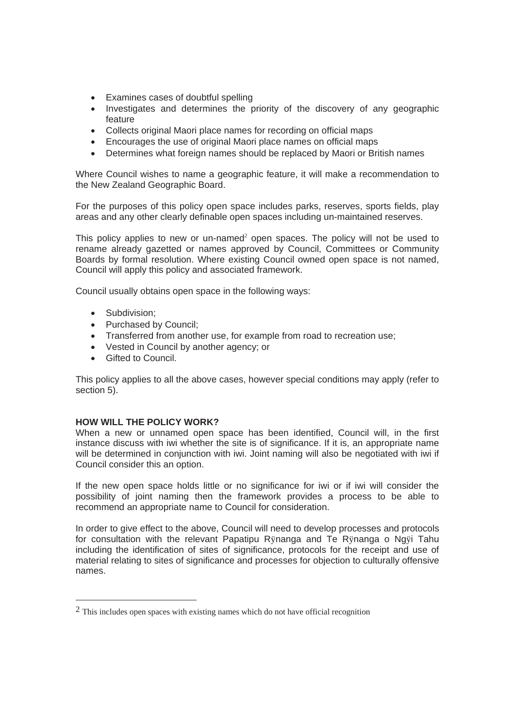- Examines cases of doubtful spelling
- Investigates and determines the priority of the discovery of any geographic feature
- Collects original Maori place names for recording on official maps
- Encourages the use of original Maori place names on official maps
- Determines what foreign names should be replaced by Maori or British names

Where Council wishes to name a geographic feature, it will make a recommendation to the New Zealand Geographic Board.

For the purposes of this policy open space includes parks, reserves, sports fields, play areas and any other clearly definable open spaces including un-maintained reserves.

This policy applies to new or un-named<sup>2</sup> open spaces. The policy will not be used to rename already gazetted or names approved by Council, Committees or Community Boards by formal resolution. Where existing Council owned open space is not named, Council will apply this policy and associated framework.

Council usually obtains open space in the following ways:

- Subdivision:
- Purchased by Council;
- Transferred from another use, for example from road to recreation use;
- Vested in Council by another agency; or
- Gifted to Council.

This policy applies to all the above cases, however special conditions may apply (refer to section 5).

#### **HOW WILL THE POLICY WORK?**

When a new or unnamed open space has been identified, Council will, in the first instance discuss with iwi whether the site is of significance. If it is, an appropriate name will be determined in conjunction with iwi. Joint naming will also be negotiated with iwi if Council consider this an option.

If the new open space holds little or no significance for iwi or if iwi will consider the possibility of joint naming then the framework provides a process to be able to recommend an appropriate name to Council for consideration.

In order to give effect to the above, Council will need to develop processes and protocols for consultation with the relevant Papatipu Rÿnanga and Te Rÿnanga o Ngÿi Tahu including the identification of sites of significance, protocols for the receipt and use of material relating to sites of significance and processes for objection to culturally offensive names.

<sup>&</sup>lt;sup>2</sup> This includes open spaces with existing names which do not have official recognition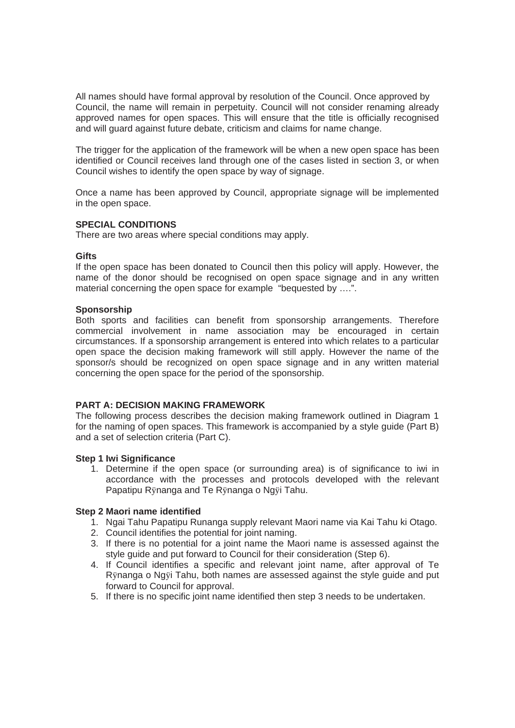All names should have formal approval by resolution of the Council. Once approved by Council, the name will remain in perpetuity. Council will not consider renaming already approved names for open spaces. This will ensure that the title is officially recognised and will guard against future debate, criticism and claims for name change.

The trigger for the application of the framework will be when a new open space has been identified or Council receives land through one of the cases listed in section 3, or when Council wishes to identify the open space by way of signage.

Once a name has been approved by Council, appropriate signage will be implemented in the open space.

## **SPECIAL CONDITIONS**

There are two areas where special conditions may apply.

#### **Gifts**

If the open space has been donated to Council then this policy will apply. However, the name of the donor should be recognised on open space signage and in any written material concerning the open space for example "bequested by ....".

#### **Sponsorship**

Both sports and facilities can benefit from sponsorship arrangements. Therefore commercial involvement in name association may be encouraged in certain circumstances. If a sponsorship arrangement is entered into which relates to a particular open space the decision making framework will still apply. However the name of the sponsor/s should be recognized on open space signage and in any written material concerning the open space for the period of the sponsorship.

#### **PART A: DECISION MAKING FRAMEWORK**

The following process describes the decision making framework outlined in Diagram 1 for the naming of open spaces. This framework is accompanied by a style guide (Part B) and a set of selection criteria (Part C).

#### **Step 1 Iwi Significance**

1. Determine if the open space (or surrounding area) is of significance to iwi in accordance with the processes and protocols developed with the relevant Papatipu Rÿnanga and Te Rÿnanga o Ngÿi Tahu.

#### **Step 2 Maori name identified**

- 1. Ngai Tahu Papatipu Runanga supply relevant Maori name via Kai Tahu ki Otago.
- 2. Council identifies the potential for joint naming.
- 3. If there is no potential for a joint name the Maori name is assessed against the style guide and put forward to Council for their consideration (Step 6).
- 4. If Council identifies a specific and relevant joint name, after approval of Te Rÿnanga o Ngÿi Tahu, both names are assessed against the style guide and put forward to Council for approval.
- 5. If there is no specific joint name identified then step 3 needs to be undertaken.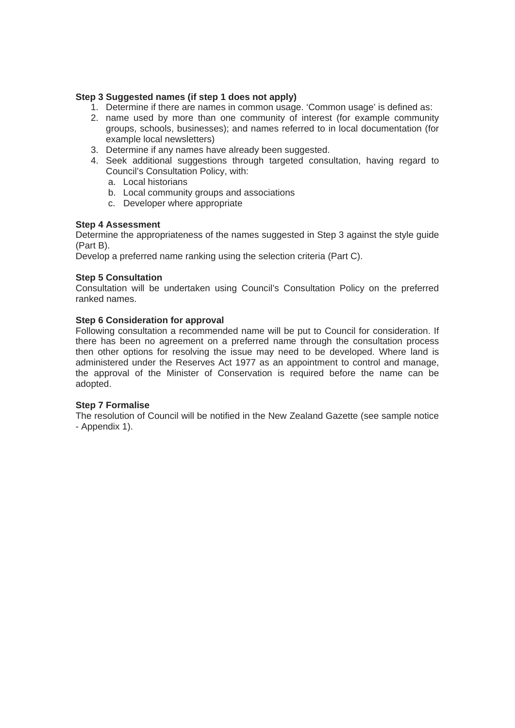## **Step 3 Suggested names (if step 1 does not apply)**

- 1. Determine if there are names in common usage. 'Common usage' is defined as:
- 2. name used by more than one community of interest (for example community groups, schools, businesses); and names referred to in local documentation (for example local newsletters)
- 3. Determine if any names have already been suggested.
- 4. Seek additional suggestions through targeted consultation, having regard to Council's Consultation Policy, with:
	- a. Local historians
	- b. Local community groups and associations
	- c. Developer where appropriate

## **Step 4 Assessment**

Determine the appropriateness of the names suggested in Step 3 against the style guide (Part B).**trategies Index**

Develop a preferred name ranking using the selection criteria (Part C).

#### **Step 5 Consultation**

Consultation will be undertaken using Council's Consultation Policy on the preferred ranked names.

## **Step 6 Consideration for approval**

Following consultation a recommended name will be put to Council for consideration. If there has been no agreement on a preferred name through the consultation process then other options for resolving the issue may need to be developed. Where land is administered under the Reserves Act 1977 as an appointment to control and manage, the approval of the Minister of Conservation is required before the name can be adopted.

#### **Step 7 Formalise**

The resolution of Council will be notified in the New Zealand Gazette (see sample notice - Appendix 1).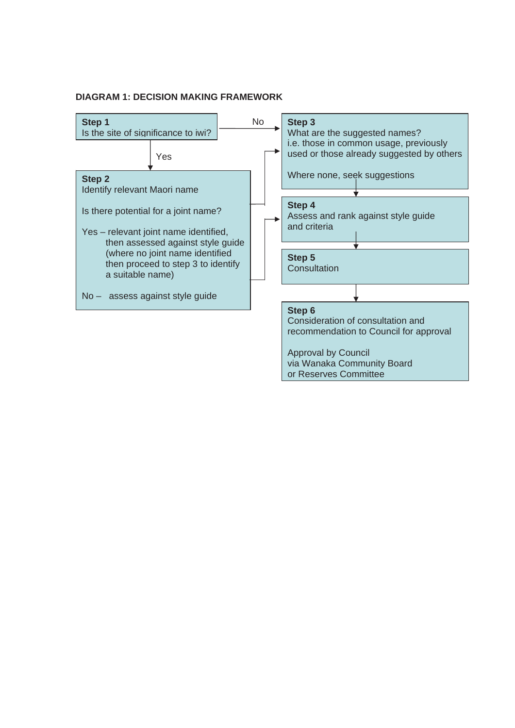## **DIAGRAM 1: DECISION MAKING FRAMEWORK**

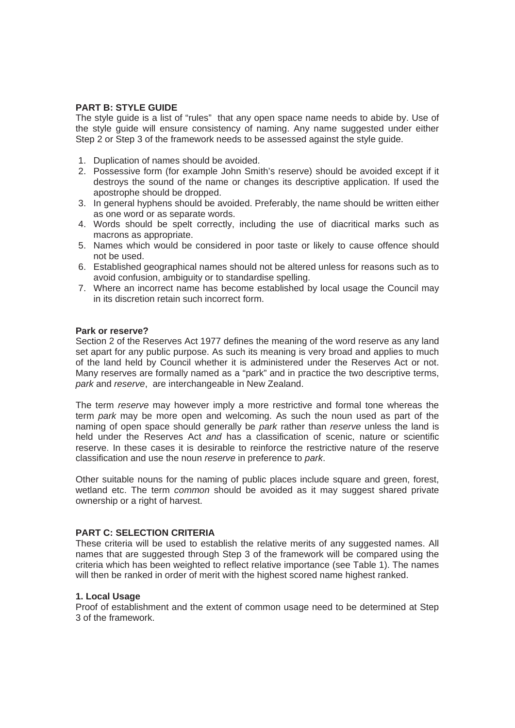#### **PART B: STYLE GUIDE**

The style guide is a list of "rules" that any open space name needs to abide by. Use of the style guide will ensure consistency of naming. Any name suggested under either Step 2 or Step 3 of the framework needs to be assessed against the style guide.

- 1. Duplication of names should be avoided.
- 2. Possessive form (for example John Smith's reserve) should be avoided except if it destroys the sound of the name or changes its descriptive application. If used the apostrophe should be dropped.
- 3. In general hyphens should be avoided. Preferably, the name should be written either as one word or as separate words.
- 4. Words should be spelt correctly, including the use of diacritical marks such as macrons as appropriate.
- 5. Names which would be considered in poor taste or likely to cause offence should not be used.
- 6. Established geographical names should not be altered unless for reasons such as to avoid confusion, ambiguity or to standardise spelling.
- 7. Where an incorrect name has become established by local usage the Council may in its discretion retain such incorrect form.

#### **Park or reserve?**

Section 2 of the Reserves Act 1977 defines the meaning of the word reserve as any land set apart for any public purpose. As such its meaning is very broad and applies to much of the land held by Council whether it is administered under the Reserves Act or not. Many reserves are formally named as a "park" and in practice the two descriptive terms, *park* and *reserve*, are interchangeable in New Zealand.

The term *reserve* may however imply a more restrictive and formal tone whereas the term *park* may be more open and welcoming. As such the noun used as part of the naming of open space should generally be *park* rather than *reserve* unless the land is held under the Reserves Act *and* has a classification of scenic, nature or scientific reserve. In these cases it is desirable to reinforce the restrictive nature of the reserve classification and use the noun *reserve* in preference to *park*.

Other suitable nouns for the naming of public places include square and green, forest, wetland etc. The term *common* should be avoided as it may suggest shared private ownership or a right of harvest.

#### **PART C: SELECTION CRITERIA**

These criteria will be used to establish the relative merits of any suggested names. All names that are suggested through Step 3 of the framework will be compared using the criteria which has been weighted to reflect relative importance (see Table 1). The names will then be ranked in order of merit with the highest scored name highest ranked.

#### **1. Local Usage**

Proof of establishment and the extent of common usage need to be determined at Step 3 of the framework.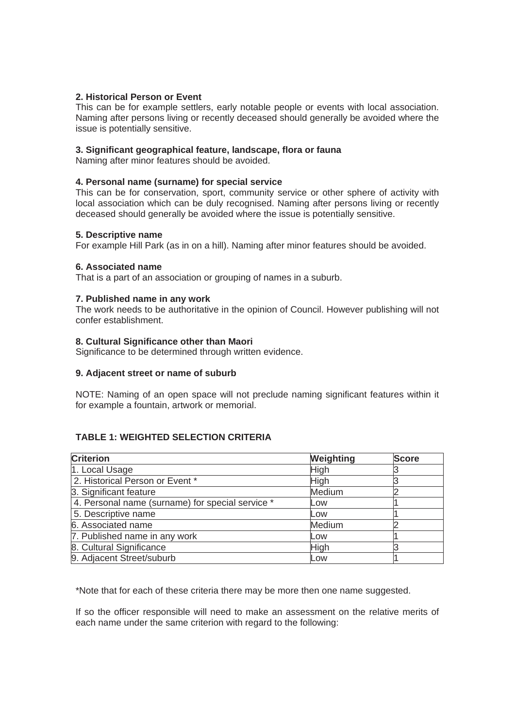## **2. Historical Person or Event**

This can be for example settlers, early notable people or events with local association. Naming after persons living or recently deceased should generally be avoided where the issue is potentially sensitive.

#### **3. Significant geographical feature, landscape, flora or fauna**

Naming after minor features should be avoided.

## **4. Personal name (surname) for special service**

This can be for conservation, sport, community service or other sphere of activity with local association which can be duly recognised. Naming after persons living or recently deceased should generally be avoided where the issue is potentially sensitive.

## **5. Descriptive name**

For example Hill Park (as in on a hill). Naming after minor features should be avoided.

## **6. Associated name**

That is a part of an association or grouping of names in a suburb.

## **7. Published name in any work**

The work needs to be authoritative in the opinion of Council. However publishing will not confer establishment.

## **8. Cultural Significance other than Maori**

Significance to be determined through written evidence.

#### **9. Adjacent street or name of suburb**

NOTE: Naming of an open space will not preclude naming significant features within it for example a fountain, artwork or memorial.

# **TABLE 1: WEIGHTED SELECTION CRITERIA**

| <b>Criterion</b>                                 | Weighting | <b>Score</b> |
|--------------------------------------------------|-----------|--------------|
| 1. Local Usage                                   | High      |              |
| 2. Historical Person or Event *                  | High      |              |
| 3. Significant feature                           | Medium    |              |
| 4. Personal name (surname) for special service * | Low       |              |
| 5. Descriptive name                              | Low       |              |
| 6. Associated name                               | Medium    |              |
| 7. Published name in any work                    | Low       |              |
| 8. Cultural Significance                         | High      |              |
| 9. Adjacent Street/suburb                        | Low       |              |

\*Note that for each of these criteria there may be more then one name suggested.

If so the officer responsible will need to make an assessment on the relative merits of each name under the same criterion with regard to the following: